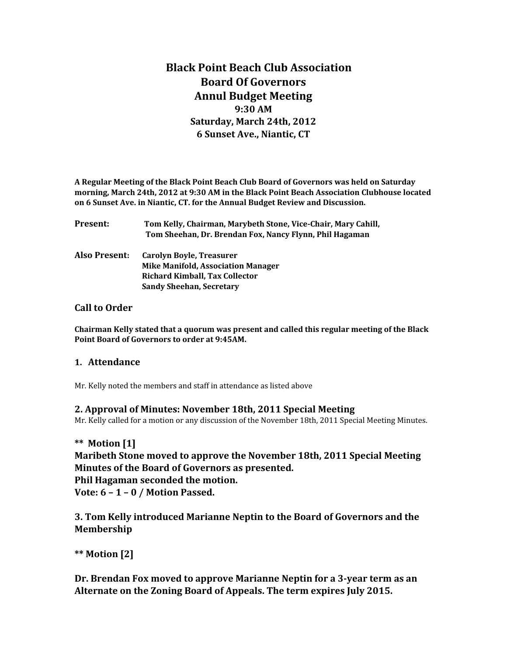# **Black Point Beach Club Association Board Of Governors Annul Budget Meeting 9:30 AM Saturday, March 24th, 2012 6 Sunset Ave., Niantic, CT**

**A Regular Meeting of the Black Point Beach Club Board of Governors was held on Saturday morning, March 24th, 2012 at 9:30 AM in the Black Point Beach Association Clubhouse located on 6 Sunset Ave. in Niantic, CT. for the Annual Budget Review and Discussion.**

| Present:      | Tom Kelly, Chairman, Marybeth Stone, Vice-Chair, Mary Cahill,<br>Tom Sheehan, Dr. Brendan Fox, Nancy Flynn, Phil Hagaman |
|---------------|--------------------------------------------------------------------------------------------------------------------------|
| Also Present: | Carolyn Boyle, Treasurer<br><b>Mike Manifold, Association Manager</b>                                                    |
|               | <b>Richard Kimball, Tax Collector</b><br><b>Sandy Sheehan, Secretary</b>                                                 |
|               |                                                                                                                          |

#### **Call to Order**

**Chairman Kelly stated that a quorum was present and called this regular meeting of the Black Point Board of Governors to order at 9:45AM.** 

#### **1. Attendance**

Mr. Kelly noted the members and staff in attendance as listed above

#### **2. Approval of Minutes: November 18th, 2011 Special Meeting**

Mr. Kelly called for a motion or any discussion of the November 18th, 2011 Special Meeting Minutes.

#### **\*\* Motion [1]**

**Maribeth Stone moved to approve the November 18th, 2011 Special Meeting Minutes of the Board of Governors as presented.**

**Phil Hagaman seconded the motion.**

**Vote: 6 – 1 – 0 / Motion Passed.**

**3. Tom Kelly introduced Marianne Neptin to the Board of Governors and the Membership**

**\*\* Motion [2]**

**Dr. Brendan Fox moved to approve Marianne Neptin for a 3-year term as an Alternate on the Zoning Board of Appeals. The term expires July 2015.**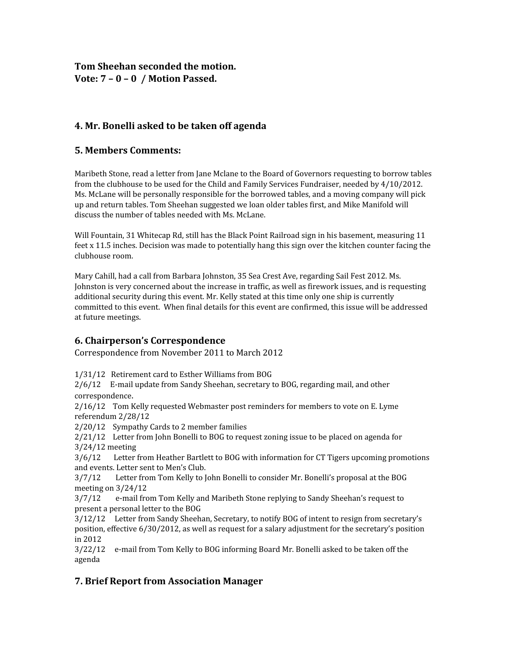# **Tom Sheehan seconded the motion. Vote: 7 – 0 – 0 / Motion Passed.**

# **4. Mr. Bonelli asked to be taken off agenda**

### **5. Members Comments:**

Maribeth Stone, read a letter from Jane Mclane to the Board of Governors requesting to borrow tables from the clubhouse to be used for the Child and Family Services Fundraiser, needed by 4/10/2012. Ms. McLane will be personally responsible for the borrowed tables, and a moving company will pick up and return tables. Tom Sheehan suggested we loan older tables first, and Mike Manifold will discuss the number of tables needed with Ms. McLane.

Will Fountain, 31 Whitecap Rd, still has the Black Point Railroad sign in his basement, measuring 11 feet x 11.5 inches. Decision was made to potentially hang this sign over the kitchen counter facing the clubhouse room.

Mary Cahill, had a call from Barbara Johnston, 35 Sea Crest Ave, regarding Sail Fest 2012. Ms. Johnston is very concerned about the increase in traffic, as well as firework issues, and is requesting additional security during this event. Mr. Kelly stated at this time only one ship is currently committed to this event. When final details for this event are confirmed, this issue will be addressed at future meetings.

### **6. Chairperson's Correspondence**

Correspondence from November 2011 to March 2012

1/31/12 Retirement card to Esther Williams from BOG

2/6/12 E-mail update from Sandy Sheehan, secretary to BOG, regarding mail, and other correspondence.

2/16/12 Tom Kelly requested Webmaster post reminders for members to vote on E. Lyme referendum 2/28/12

2/20/12 Sympathy Cards to 2 member families

2/21/12 Letter from John Bonelli to BOG to request zoning issue to be placed on agenda for 3/24/12 meeting

3/6/12 Letter from Heather Bartlett to BOG with information for CT Tigers upcoming promotions and events. Letter sent to Men's Club.

3/7/12 Letter from Tom Kelly to John Bonelli to consider Mr. Bonelli's proposal at the BOG meeting on 3/24/12

3/7/12 e-mail from Tom Kelly and Maribeth Stone replying to Sandy Sheehan's request to present a personal letter to the BOG

3/12/12 Letter from Sandy Sheehan, Secretary, to notify BOG of intent to resign from secretary's position, effective 6/30/2012, as well as request for a salary adjustment for the secretary's position in 2012

3/22/12 e-mail from Tom Kelly to BOG informing Board Mr. Bonelli asked to be taken off the agenda

# **7. Brief Report from Association Manager**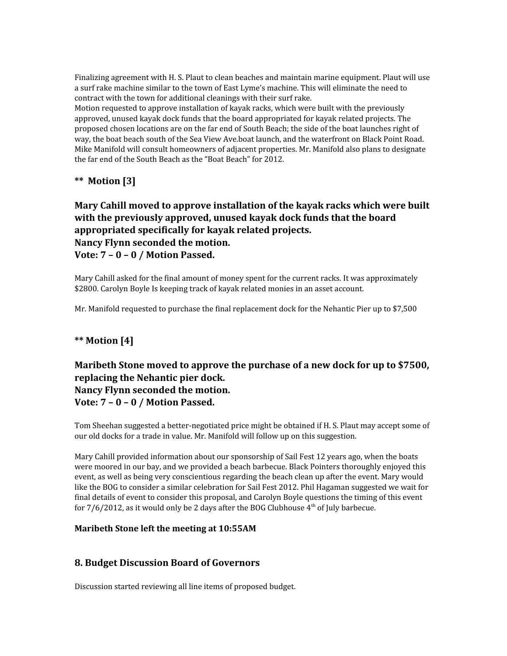Finalizing agreement with H. S. Plaut to clean beaches and maintain marine equipment. Plaut will use a surf rake machine similar to the town of East Lyme's machine. This will eliminate the need to contract with the town for additional cleanings with their surf rake.

Motion requested to approve installation of kayak racks, which were built with the previously approved, unused kayak dock funds that the board appropriated for kayak related projects. The proposed chosen locations are on the far end of South Beach; the side of the boat launches right of way, the boat beach south of the Sea View Ave.boat launch, and the waterfront on Black Point Road. Mike Manifold will consult homeowners of adjacent properties. Mr. Manifold also plans to designate the far end of the South Beach as the "Boat Beach" for 2012.

## **\*\* Motion [3]**

## **Mary Cahill moved to approve installation of the kayak racks which were built with the previously approved, unused kayak dock funds that the board appropriated specifically for kayak related projects. Nancy Flynn seconded the motion. Vote: 7 – 0 – 0 / Motion Passed.**

Mary Cahill asked for the final amount of money spent for the current racks. It was approximately \$2800. Carolyn Boyle Is keeping track of kayak related monies in an asset account.

Mr. Manifold requested to purchase the final replacement dock for the Nehantic Pier up to \$7,500

### **\*\* Motion [4]**

# **Maribeth Stone moved to approve the purchase of a new dock for up to \$7500, replacing the Nehantic pier dock. Nancy Flynn seconded the motion. Vote: 7 – 0 – 0 / Motion Passed.**

Tom Sheehan suggested a better-negotiated price might be obtained if H. S. Plaut may accept some of our old docks for a trade in value. Mr. Manifold will follow up on this suggestion.

Mary Cahill provided information about our sponsorship of Sail Fest 12 years ago, when the boats were moored in our bay, and we provided a beach barbecue. Black Pointers thoroughly enjoyed this event, as well as being very conscientious regarding the beach clean up after the event. Mary would like the BOG to consider a similar celebration for Sail Fest 2012. Phil Hagaman suggested we wait for final details of event to consider this proposal, and Carolyn Boyle questions the timing of this event for  $7/6/2012$ , as it would only be 2 days after the BOG Clubhouse  $4<sup>th</sup>$  of July barbecue.

#### **Maribeth Stone left the meeting at 10:55AM**

### **8. Budget Discussion Board of Governors**

Discussion started reviewing all line items of proposed budget.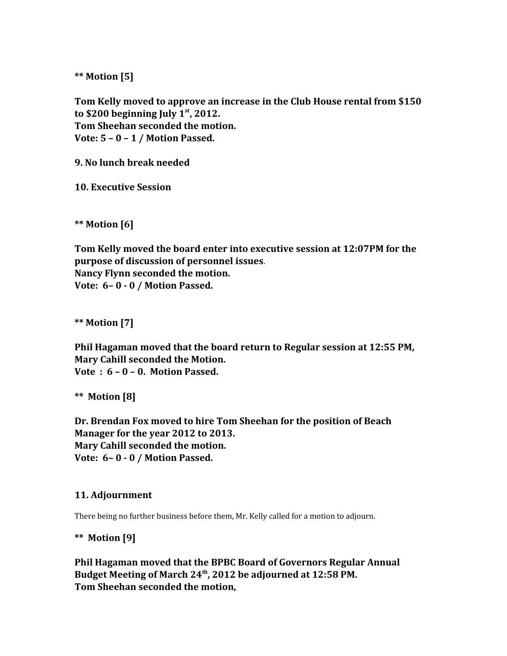**\*\* Motion [5]**

**Tom Kelly moved to approve an increase in the Club House rental from \$150 to \$200 beginning July 1st, 2012. Tom Sheehan seconded the motion. Vote: 5 – 0 – 1 / Motion Passed.**

**9. No lunch break needed**

**10. Executive Session**

**\*\* Motion [6]**

**Tom Kelly moved the board enter into executive session at 12:07PM for the purpose of discussion of personnel issues**. **Nancy Flynn seconded the motion. Vote: 6– 0 - 0 / Motion Passed.**

**\*\* Motion [7]**

**Phil Hagaman moved that the board return to Regular session at 12:55 PM, Mary Cahill seconded the Motion. Vote : 6 – 0 – 0. Motion Passed.**

**\*\* Motion [8]**

**Dr. Brendan Fox moved to hire Tom Sheehan for the position of Beach Manager for the year 2012 to 2013. Mary Cahill seconded the motion. Vote: 6– 0 - 0 / Motion Passed.**

#### **11. Adjournment**

There being no further business before them, Mr. Kelly called for a motion to adjourn.

**\*\* Motion [9]**

**Phil Hagaman moved that the BPBC Board of Governors Regular Annual Budget Meeting of March 24th, 2012 be adjourned at 12:58 PM. Tom Sheehan seconded the motion,**